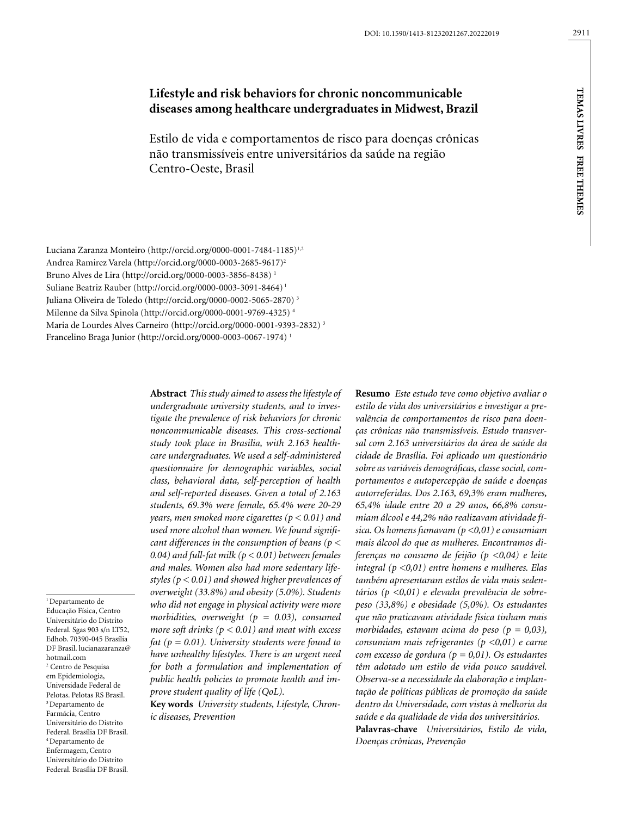# **Lifestyle and risk behaviors for chronic noncommunicable diseases among healthcare undergraduates in Midwest, Brazil**

Estilo de vida e comportamentos de risco para doenças crônicas não transmissíveis entre universitários da saúde na região Centro-Oeste, Brasil

Luciana Zaranza Monteiro (http://orcid.org/0000-0001-7484-1185)<sup>1,2</sup> Andrea Ramirez Varela (http://orcid.org/0000-0003-2685-9617)2 Bruno Alves de Lira (http://orcid.org/0000-0003-3856-8438) 1 Suliane Beatriz Rauber (http://orcid.org/0000-0003-3091-8464) 1 Juliana Oliveira de Toledo (http://orcid.org/0000-0002-5065-2870) 3 Milenne da Silva Spinola (http://orcid.org/0000-0001-9769-4325) 4 Maria de Lourdes Alves Carneiro (http://orcid.org/0000-0001-9393-2832) 3 Francelino Braga Junior (http://orcid.org/0000-0003-0067-1974) 1

<sup>1</sup> Departamento de Educação Física, Centro Universitário do Distrito Federal. Sgas 903 s/n LT52, Edhob. 70390-045 Brasília DF Brasil. [lucianazaranza@](mailto:lucianazaranza@hotmail.com) 2 Centro de Pesquisa em Epidemiologia, Universidade Federal de Pelotas. Pelotas RS Brasil. 3 Departamento de Farmácia, Centro Universitário do Distrito Federal. Brasília DF Brasil. 4 Departamento de

[hotmail.com](mailto:lucianazaranza@hotmail.com)

Enfermagem, Centro Universitário do Distrito Federal. Brasília DF Brasil. **Abstract** *This study aimed to assess the lifestyle of undergraduate university students, and to investigate the prevalence of risk behaviors for chronic noncommunicable diseases. This cross-sectional study took place in Brasilia, with 2.163 healthcare undergraduates. We used a self-administered questionnaire for demographic variables, social class, behavioral data, self-perception of health and self-reported diseases. Given a total of 2.163 students, 69.3% were female, 65.4% were 20-29 years, men smoked more cigarettes (p < 0.01) and used more alcohol than women. We found significant differences in the consumption of beans (p < 0.04) and full-fat milk (p < 0.01) between females and males. Women also had more sedentary lifestyles (p < 0.01) and showed higher prevalences of overweight (33.8%) and obesity (5.0%). Students who did not engage in physical activity were more morbidities, overweight (p = 0.03), consumed more soft drinks (p < 0.01) and meat with excess fat (p = 0.01). University students were found to have unhealthy lifestyles. There is an urgent need for both a formulation and implementation of public health policies to promote health and improve student quality of life (QoL).*

**Key words** *University students, Lifestyle, Chronic diseases, Prevention*

**Resumo** *Este estudo teve como objetivo avaliar o estilo de vida dos universitários e investigar a prevalência de comportamentos de risco para doenças crônicas não transmissíveis. Estudo transversal com 2.163 universitários da área de saúde da cidade de Brasília. Foi aplicado um questionário sobre as variáveis demográficas, classe social, comportamentos e autopercepção de saúde e doenças autorreferidas. Dos 2.163, 69,3% eram mulheres, 65,4% idade entre 20 a 29 anos, 66,8% consumiam álcool e 44,2% não realizavam atividade física. Os homens fumavam (p <0,01) e consumiam mais álcool do que as mulheres. Encontramos diferenças no consumo de feijão (p <0,04) e leite integral (p <0,01) entre homens e mulheres. Elas também apresentaram estilos de vida mais sedentários (p <0,01) e elevada prevalência de sobrepeso (33,8%) e obesidade (5,0%). Os estudantes que não praticavam atividade física tinham mais morbidades, estavam acima do peso (p = 0,03), consumiam mais refrigerantes (p <0,01) e carne com excesso de gordura (p = 0,01). Os estudantes têm adotado um estilo de vida pouco saudável. Observa-se a necessidade da elaboração e implantação de políticas públicas de promoção da saúde dentro da Universidade, com vistas à melhoria da saúde e da qualidade de vida dos universitários.* **Palavras-chave** *Universitários, Estilo de vida, Doenças crônicas, Prevenção*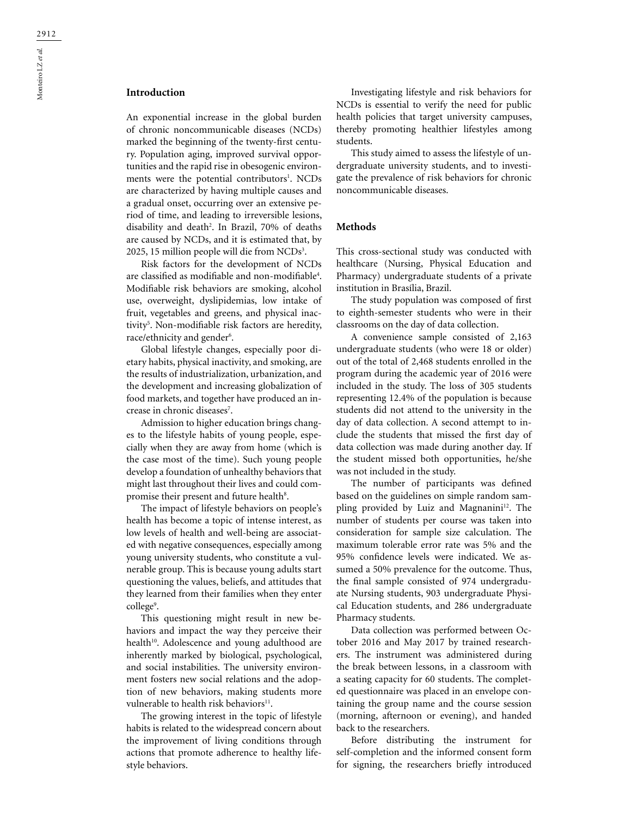# **Introduction**

An exponential increase in the global burden of chronic noncommunicable diseases (NCDs) marked the beginning of the twenty-first century. Population aging, improved survival opportunities and the rapid rise in obesogenic environments were the potential contributors<sup>1</sup>. NCDs are characterized by having multiple causes and a gradual onset, occurring over an extensive period of time, and leading to irreversible lesions, disability and death<sup>2</sup>. In Brazil, 70% of deaths are caused by NCDs, and it is estimated that, by 2025, 15 million people will die from NCDs<sup>3</sup>.

Risk factors for the development of NCDs are classified as modifiable and non-modifiable4 . Modifiable risk behaviors are smoking, alcohol use, overweight, dyslipidemias, low intake of fruit, vegetables and greens, and physical inactivity5 . Non-modifiable risk factors are heredity, race/ethnicity and gender<sup>6</sup>.

Global lifestyle changes, especially poor dietary habits, physical inactivity, and smoking, are the results of industrialization, urbanization, and the development and increasing globalization of food markets, and together have produced an increase in chronic diseases<sup>7</sup>.

Admission to higher education brings changes to the lifestyle habits of young people, especially when they are away from home (which is the case most of the time). Such young people develop a foundation of unhealthy behaviors that might last throughout their lives and could compromise their present and future health<sup>8</sup>.

The impact of lifestyle behaviors on people's health has become a topic of intense interest, as low levels of health and well-being are associated with negative consequences, especially among young university students, who constitute a vulnerable group. This is because young adults start questioning the values, beliefs, and attitudes that they learned from their families when they enter college<sup>9</sup>.

This questioning might result in new behaviors and impact the way they perceive their health<sup>10</sup>. Adolescence and young adulthood are inherently marked by biological, psychological, and social instabilities. The university environment fosters new social relations and the adoption of new behaviors, making students more vulnerable to health risk behaviors<sup>11</sup>.

The growing interest in the topic of lifestyle habits is related to the widespread concern about the improvement of living conditions through actions that promote adherence to healthy lifestyle behaviors.

Investigating lifestyle and risk behaviors for NCDs is essential to verify the need for public health policies that target university campuses, thereby promoting healthier lifestyles among students.

This study aimed to assess the lifestyle of undergraduate university students, and to investigate the prevalence of risk behaviors for chronic noncommunicable diseases.

# **Methods**

This cross-sectional study was conducted with healthcare (Nursing, Physical Education and Pharmacy) undergraduate students of a private institution in Brasília, Brazil.

The study population was composed of first to eighth-semester students who were in their classrooms on the day of data collection.

A convenience sample consisted of 2,163 undergraduate students (who were 18 or older) out of the total of 2,468 students enrolled in the program during the academic year of 2016 were included in the study. The loss of 305 students representing 12.4% of the population is because students did not attend to the university in the day of data collection. A second attempt to include the students that missed the first day of data collection was made during another day. If the student missed both opportunities, he/she was not included in the study.

The number of participants was defined based on the guidelines on simple random sampling provided by Luiz and Magnanini<sup>12</sup>. The number of students per course was taken into consideration for sample size calculation. The maximum tolerable error rate was 5% and the 95% confidence levels were indicated. We assumed a 50% prevalence for the outcome. Thus, the final sample consisted of 974 undergraduate Nursing students, 903 undergraduate Physical Education students, and 286 undergraduate Pharmacy students.

Data collection was performed between October 2016 and May 2017 by trained researchers. The instrument was administered during the break between lessons, in a classroom with a seating capacity for 60 students. The completed questionnaire was placed in an envelope containing the group name and the course session (morning, afternoon or evening), and handed back to the researchers.

Before distributing the instrument for self-completion and the informed consent form for signing, the researchers briefly introduced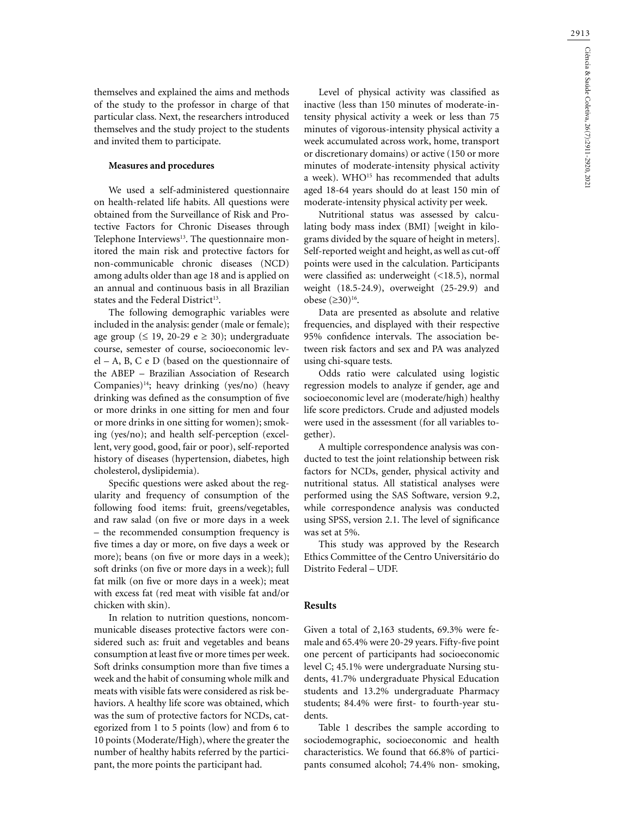themselves and explained the aims and methods of the study to the professor in charge of that particular class. Next, the researchers introduced themselves and the study project to the students and invited them to participate.

### **Measures and procedures**

We used a self-administered questionnaire on health-related life habits. All questions were obtained from the Surveillance of Risk and Protective Factors for Chronic Diseases through Telephone Interviews<sup>13</sup>. The questionnaire monitored the main risk and protective factors for non-communicable chronic diseases (NCD) among adults older than age 18 and is applied on an annual and continuous basis in all Brazilian states and the Federal District<sup>13</sup>.

The following demographic variables were included in the analysis: gender (male or female); age group ( $\leq$  19, 20-29 e  $\geq$  30); undergraduate course, semester of course, socioeconomic level – A, B, C e D (based on the questionnaire of the ABEP – Brazilian Association of Research Companies) $14$ ; heavy drinking (yes/no) (heavy drinking was defined as the consumption of five or more drinks in one sitting for men and four or more drinks in one sitting for women); smoking (yes/no); and health self-perception (excellent, very good, good, fair or poor), self-reported history of diseases (hypertension, diabetes, high cholesterol, dyslipidemia).

Specific questions were asked about the regularity and frequency of consumption of the following food items: fruit, greens/vegetables, and raw salad (on five or more days in a week – the recommended consumption frequency is five times a day or more, on five days a week or more); beans (on five or more days in a week); soft drinks (on five or more days in a week); full fat milk (on five or more days in a week); meat with excess fat (red meat with visible fat and/or chicken with skin).

In relation to nutrition questions, noncommunicable diseases protective factors were considered such as: fruit and vegetables and beans consumption at least five or more times per week. Soft drinks consumption more than five times a week and the habit of consuming whole milk and meats with visible fats were considered as risk behaviors. A healthy life score was obtained, which was the sum of protective factors for NCDs, categorized from 1 to 5 points (low) and from 6 to 10 points (Moderate/High), where the greater the number of healthy habits referred by the participant, the more points the participant had.

Level of physical activity was classified as inactive (less than 150 minutes of moderate-intensity physical activity a week or less than 75 minutes of vigorous-intensity physical activity a week accumulated across work, home, transport or discretionary domains) or active (150 or more minutes of moderate-intensity physical activity a week). WHO<sup>15</sup> has recommended that adults aged 18-64 years should do at least 150 min of moderate-intensity physical activity per week.

Nutritional status was assessed by calculating body mass index (BMI) [weight in kilograms divided by the square of height in meters]. Self-reported weight and height, as well as cut-off points were used in the calculation. Participants were classified as: underweight (<18.5), normal weight (18.5-24.9), overweight (25-29.9) and obese (≥30)16.

Data are presented as absolute and relative frequencies, and displayed with their respective 95% confidence intervals. The association between risk factors and sex and PA was analyzed using chi-square tests.

Odds ratio were calculated using logistic regression models to analyze if gender, age and socioeconomic level are (moderate/high) healthy life score predictors. Crude and adjusted models were used in the assessment (for all variables together).

A multiple correspondence analysis was conducted to test the joint relationship between risk factors for NCDs, gender, physical activity and nutritional status. All statistical analyses were performed using the SAS Software, version 9.2, while correspondence analysis was conducted using SPSS, version 2.1. The level of significance was set at 5%.

This study was approved by the Research Ethics Committee of the Centro Universitário do Distrito Federal – UDF.

#### **Results**

Given a total of 2,163 students, 69.3% were female and 65.4% were 20-29 years. Fifty-five point one percent of participants had socioeconomic level C; 45.1% were undergraduate Nursing students, 41.7% undergraduate Physical Education students and 13.2% undergraduate Pharmacy students; 84.4% were first- to fourth-year students.

Table 1 describes the sample according to sociodemographic, socioeconomic and health characteristics. We found that 66.8% of participants consumed alcohol; 74.4% non- smoking,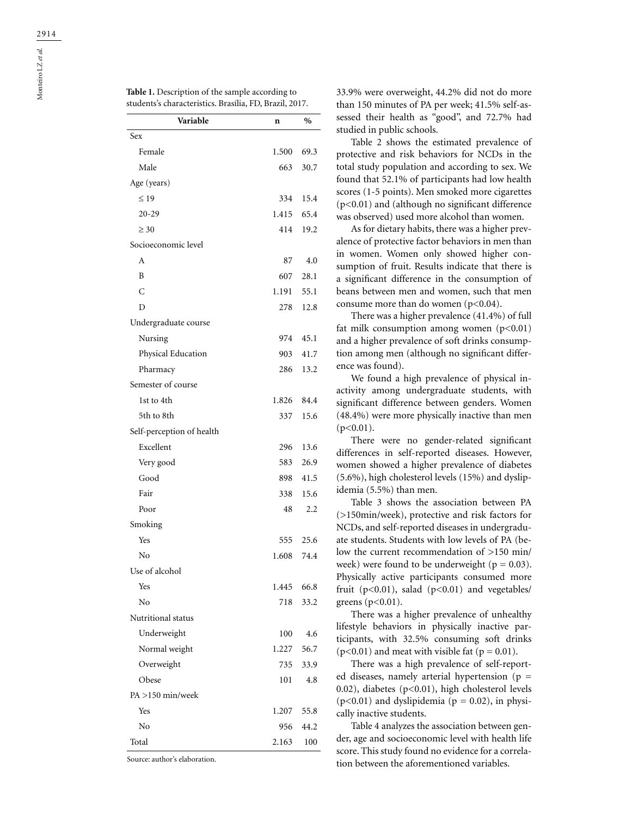| Variable                  | n     | $\%$ |  |
|---------------------------|-------|------|--|
| Sex                       |       |      |  |
| Female                    | 1.500 | 69.3 |  |
| Male                      | 663   | 30.7 |  |
| Age (years)               |       |      |  |
| $\leq 19$                 | 334   | 15.4 |  |
| $20 - 29$                 | 1.415 | 65.4 |  |
| $\geq 30$                 | 414   | 19.2 |  |
| Socioeconomic level       |       |      |  |
| А                         | 87    | 4.0  |  |
| B                         | 607   | 28.1 |  |
| C                         | 1.191 | 55.1 |  |
| D                         | 278   | 12.8 |  |
| Undergraduate course      |       |      |  |
| Nursing                   | 974   | 45.1 |  |
| Physical Education        | 903   | 41.7 |  |
| Pharmacy                  | 286   | 13.2 |  |
| Semester of course        |       |      |  |
| 1st to 4th                | 1.826 | 84.4 |  |
| 5th to 8th                | 337   | 15.6 |  |
| Self-perception of health |       |      |  |
| Excellent                 | 296   | 13.6 |  |
| Very good                 | 583   | 26.9 |  |
| Good                      | 898   | 41.5 |  |
| Fair                      | 338   | 15.6 |  |
| Poor                      | 48    | 2.2  |  |
| Smoking                   |       |      |  |
| Yes                       | 555   | 25.6 |  |
| No                        | 1.608 | 74.4 |  |
| Use of alcohol            |       |      |  |
| Yes                       | 1.445 | 66.8 |  |
| No                        | 718   | 33.2 |  |
| Nutritional status        |       |      |  |
| Underweight               | 100   | 4.6  |  |
| Normal weight             | 1.227 | 56.7 |  |
| Overweight                | 735   | 33.9 |  |
| Obese                     | 101   | 4.8  |  |
| $PA > 150$ min/week       |       |      |  |
| Yes                       | 1.207 | 55.8 |  |
| No                        | 956   | 44.2 |  |
| Total                     | 2.163 | 100  |  |

Source: author's elaboration.

**Table 1.** Description of the sample according to

33.9% were overweight, 44.2% did not do more than 150 minutes of PA per week; 41.5% self-assessed their health as "good", and 72.7% had studied in public schools.

Table 2 shows the estimated prevalence of protective and risk behaviors for NCDs in the total study population and according to sex. We found that 52.1% of participants had low health scores (1-5 points). Men smoked more cigarettes (p<0.01) and (although no significant difference was observed) used more alcohol than women.

As for dietary habits, there was a higher prevalence of protective factor behaviors in men than in women. Women only showed higher consumption of fruit. Results indicate that there is a significant difference in the consumption of beans between men and women, such that men consume more than do women  $(p<0.04)$ .

There was a higher prevalence (41.4%) of full fat milk consumption among women  $(p<0.01)$ and a higher prevalence of soft drinks consumption among men (although no significant difference was found).

We found a high prevalence of physical inactivity among undergraduate students, with significant difference between genders. Women (48.4%) were more physically inactive than men  $(p<0.01)$ .

There were no gender-related significant differences in self-reported diseases. However, women showed a higher prevalence of diabetes (5.6%), high cholesterol levels (15%) and dyslipidemia (5.5%) than men.

Table 3 shows the association between PA (>150min/week), protective and risk factors for NCDs, and self-reported diseases in undergraduate students. Students with low levels of PA (below the current recommendation of >150 min/ week) were found to be underweight ( $p = 0.03$ ). Physically active participants consumed more fruit ( $p<0.01$ ), salad ( $p<0.01$ ) and vegetables/ greens ( $p<0.01$ ).

There was a higher prevalence of unhealthy lifestyle behaviors in physically inactive participants, with 32.5% consuming soft drinks  $(p<0.01)$  and meat with visible fat  $(p = 0.01)$ .

There was a high prevalence of self-reported diseases, namely arterial hypertension ( $p =$ 0.02), diabetes ( $p<0.01$ ), high cholesterol levels  $(p<0.01)$  and dyslipidemia ( $p = 0.02$ ), in physically inactive students.

Table 4 analyzes the association between gender, age and socioeconomic level with health life score. This study found no evidence for a correlation between the aforementioned variables.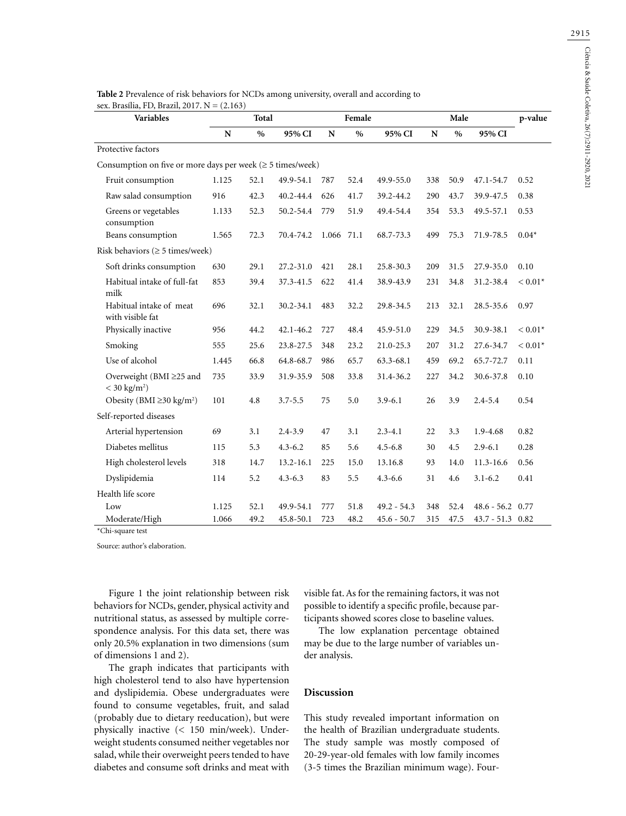| Table 2 Prevalence of risk behaviors for NCDs among university, overall and according to |
|------------------------------------------------------------------------------------------|
| sex. Brasília, FD, Brazil, 2017. $N = (2.163)$                                           |

| <b>Variables</b>                                                        | Female<br>Total |      |               |       | Male          |               |     |      |                          |           |
|-------------------------------------------------------------------------|-----------------|------|---------------|-------|---------------|---------------|-----|------|--------------------------|-----------|
|                                                                         | N               | $\%$ | 95% CI        | N     | $\frac{0}{0}$ | 95% CI        | N   | $\%$ | 95% CI                   |           |
| Protective factors                                                      |                 |      |               |       |               |               |     |      |                          |           |
| Consumption on five or more days per week $(\geq 5 \text{ times/week})$ |                 |      |               |       |               |               |     |      |                          |           |
| Fruit consumption                                                       | 1.125           | 52.1 | 49.9-54.1     | 787   | 52.4          | 49.9-55.0     | 338 | 50.9 | 47.1-54.7                | 0.52      |
| Raw salad consumption                                                   | 916             | 42.3 | $40.2 - 44.4$ | 626   | 41.7          | 39.2-44.2     | 290 | 43.7 | 39.9-47.5                | 0.38      |
| Greens or vegetables<br>consumption                                     | 1.133           | 52.3 | 50.2-54.4     | 779   | 51.9          | 49.4-54.4     | 354 | 53.3 | 49.5-57.1                | 0.53      |
| Beans consumption                                                       | 1.565           | 72.3 | 70.4-74.2     | 1.066 | 71.1          | 68.7-73.3     | 499 | 75.3 | 71.9-78.5                | $0.04*$   |
| Risk behaviors ( $\geq$ 5 times/week)                                   |                 |      |               |       |               |               |     |      |                          |           |
| Soft drinks consumption                                                 | 630             | 29.1 | $27.2 - 31.0$ | 421   | 28.1          | 25.8-30.3     | 209 | 31.5 | 27.9-35.0                | 0.10      |
| Habitual intake of full-fat<br>milk                                     | 853             | 39.4 | 37.3-41.5     | 622   | 41.4          | 38.9-43.9     | 231 | 34.8 | 31.2-38.4                | $< 0.01*$ |
| Habitual intake of meat<br>with visible fat                             | 696             | 32.1 | 30.2-34.1     | 483   | 32.2          | 29.8-34.5     | 213 | 32.1 | 28.5-35.6                | 0.97      |
| Physically inactive                                                     | 956             | 44.2 | $42.1 - 46.2$ | 727   | 48.4          | 45.9-51.0     | 229 | 34.5 | 30.9-38.1                | $< 0.01*$ |
| Smoking                                                                 | 555             | 25.6 | 23.8-27.5     | 348   | 23.2          | 21.0-25.3     | 207 | 31.2 | 27.6-34.7                | $< 0.01*$ |
| Use of alcohol                                                          | 1.445           | 66.8 | 64.8-68.7     | 986   | 65.7          | 63.3-68.1     | 459 | 69.2 | 65.7-72.7                | 0.11      |
| Overweight (BMI ≥25 and<br>$<$ 30 kg/m <sup>2</sup> )                   | 735             | 33.9 | 31.9-35.9     | 508   | 33.8          | 31.4-36.2     | 227 | 34.2 | 30.6-37.8                | 0.10      |
| Obesity (BMI $\geq$ 30 kg/m <sup>2</sup> )                              | 101             | 4.8  | $3.7 - 5.5$   | 75    | 5.0           | $3.9 - 6.1$   | 26  | 3.9  | $2.4 - 5.4$              | 0.54      |
| Self-reported diseases                                                  |                 |      |               |       |               |               |     |      |                          |           |
| Arterial hypertension                                                   | 69              | 3.1  | $2.4 - 3.9$   | 47    | 3.1           | $2.3 - 4.1$   | 22  | 3.3  | 1.9-4.68                 | 0.82      |
| Diabetes mellitus                                                       | 115             | 5.3  | $4.3 - 6.2$   | 85    | 5.6           | $4.5 - 6.8$   | 30  | 4.5  | $2.9 - 6.1$              | 0.28      |
| High cholesterol levels                                                 | 318             | 14.7 | $13.2 - 16.1$ | 225   | 15.0          | 13.16.8       | 93  | 14.0 | $11.3 - 16.6$            | 0.56      |
| Dyslipidemia                                                            | 114             | 5.2  | $4.3 - 6.3$   | 83    | 5.5           | $4.3 - 6.6$   | 31  | 4.6  | $3.1 - 6.2$              | 0.41      |
| Health life score                                                       |                 |      |               |       |               |               |     |      |                          |           |
| Low                                                                     | 1.125           | 52.1 | 49.9-54.1     | 777   | 51.8          | 49.2 - 54.3   | 348 | 52.4 | $48.6 - 56.2 \quad 0.77$ |           |
| Moderate/High                                                           | 1.066           | 49.2 | 45.8-50.1     | 723   | 48.2          | $45.6 - 50.7$ | 315 | 47.5 | $43.7 - 51.3$ 0.82       |           |

\*Chi-square test

Source: author's elaboration.

Figure 1 the joint relationship between risk behaviors for NCDs, gender, physical activity and nutritional status, as assessed by multiple correspondence analysis. For this data set, there was only 20.5% explanation in two dimensions (sum of dimensions 1 and 2).

The graph indicates that participants with high cholesterol tend to also have hypertension and dyslipidemia. Obese undergraduates were found to consume vegetables, fruit, and salad (probably due to dietary reeducation), but were physically inactive (< 150 min/week). Underweight students consumed neither vegetables nor salad, while their overweight peers tended to have diabetes and consume soft drinks and meat with visible fat. As for the remaining factors, it was not possible to identify a specific profile, because participants showed scores close to baseline values.

The low explanation percentage obtained may be due to the large number of variables under analysis.

# **Discussion**

This study revealed important information on the health of Brazilian undergraduate students. The study sample was mostly composed of 20-29-year-old females with low family incomes (3-5 times the Brazilian minimum wage). Four-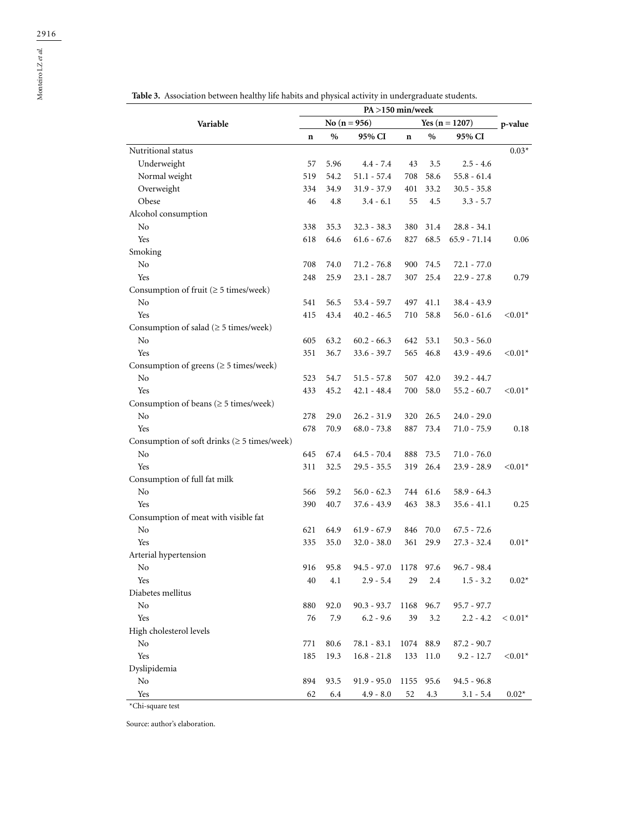|                                                                              | $PA > 150$ min/week |      |                  |             |           |                            |            |
|------------------------------------------------------------------------------|---------------------|------|------------------|-------------|-----------|----------------------------|------------|
| Variable                                                                     |                     |      | No $(n = 956)$   |             | p-value   |                            |            |
|                                                                              |                     | $\%$ | 95% CI           | $\mathbf n$ | $\%$      | Yes $(n = 1207)$<br>95% CI |            |
| Nutritional status                                                           |                     |      |                  |             |           |                            | $0.03*$    |
| Underweight                                                                  | 57                  | 5.96 | $4.4 - 7.4$      | 43          | 3.5       | $2.5 - 4.6$                |            |
| Normal weight                                                                | 519                 | 54.2 | $51.1 - 57.4$    | 708         | 58.6      | $55.8 - 61.4$              |            |
| Overweight                                                                   | 334                 | 34.9 | $31.9 - 37.9$    | 401         | 33.2      | $30.5 - 35.8$              |            |
| Obese                                                                        | 46                  | 4.8  | $3.4 - 6.1$      | 55          | 4.5       | $3.3 - 5.7$                |            |
| Alcohol consumption                                                          |                     |      |                  |             |           |                            |            |
| No                                                                           | 338                 | 35.3 | $32.3 - 38.3$    | 380         | 31.4      | $28.8 - 34.1$              |            |
| Yes                                                                          | 618                 | 64.6 | $61.6 - 67.6$    | 827         | 68.5      | $65.9 - 71.14$             | 0.06       |
| Smoking                                                                      |                     |      |                  |             |           |                            |            |
| No                                                                           | 708                 | 74.0 | 71.2 - 76.8      | 900         | 74.5      | $72.1 - 77.0$              |            |
| Yes                                                                          | 248                 | 25.9 | $23.1 - 28.7$    | 307         | 25.4      | $22.9 - 27.8$              | 0.79       |
| Consumption of fruit $(\geq 5 \text{ times/week})$                           |                     |      |                  |             |           |                            |            |
| No                                                                           | 541                 | 56.5 | $53.4 - 59.7$    | 497         | 41.1      | 38.4 - 43.9                |            |
| Yes                                                                          | 415                 | 43.4 | $40.2 - 46.5$    | 710         | 58.8      | $56.0 - 61.6$              | $< 0.01*$  |
| Consumption of salad ( $\geq$ 5 times/week)                                  |                     |      |                  |             |           |                            |            |
| No                                                                           | 605                 | 63.2 | $60.2 - 66.3$    | 642         | 53.1      | $50.3 - 56.0$              |            |
| Yes                                                                          | 351                 | 36.7 | $33.6 - 39.7$    | 565         | 46.8      | $43.9 - 49.6$              | ${<}0.01*$ |
| Consumption of greens $(\geq 5 \text{ times/week})$                          |                     |      |                  |             |           |                            |            |
| No                                                                           | 523                 | 54.7 | $51.5 - 57.8$    | 507         | 42.0      | $39.2 - 44.7$              |            |
| Yes                                                                          | 433                 | 45.2 | $42.1 - 48.4$    | 700         | 58.0      | $55.2 - 60.7$              | $< 0.01*$  |
| Consumption of beans ( $\geq$ 5 times/week)                                  |                     |      |                  |             |           |                            |            |
| No                                                                           | 278                 | 29.0 | $26.2 - 31.9$    | 320         | 26.5      | 24.0 - 29.0                |            |
| Yes                                                                          | 678                 | 70.9 | $68.0 - 73.8$    | 887         | 73.4      | $71.0 - 75.9$              | 0.18       |
|                                                                              |                     |      |                  |             |           |                            |            |
| Consumption of soft drinks $( \geq 5 \times )$ times/week)<br>N <sub>o</sub> | 645                 | 67.4 | $64.5 - 70.4$    | 888         | 73.5      | 71.0 - 76.0                |            |
| Yes                                                                          | 311                 | 32.5 | $29.5 - 35.5$    | 319         | 26.4      |                            | $< 0.01*$  |
|                                                                              |                     |      |                  |             |           | 23.9 - 28.9                |            |
| Consumption of full fat milk                                                 |                     |      |                  |             |           |                            |            |
| No                                                                           | 566                 | 59.2 | $56.0 - 62.3$    | 744         | 61.6      | $58.9 - 64.3$              |            |
| Yes                                                                          | 390                 | 40.7 | $37.6 - 43.9$    | 463         | 38.3      | $35.6 - 41.1$              | 0.25       |
| Consumption of meat with visible fat                                         |                     |      |                  |             |           |                            |            |
| No                                                                           | 621                 | 64.9 | $61.9 - 67.9$    | 846         | 70.0      | $67.5 - 72.6$              |            |
| Yes                                                                          | 335                 | 35.0 | $32.0 - 38.0$    | 361         | 29.9      | $27.3 - 32.4$              | $0.01*$    |
| Arterial hypertension                                                        |                     |      |                  |             |           |                            |            |
| No                                                                           | 916                 | 95.8 | 94.5 - 97.0 1178 |             | 97.6      | $96.7 - 98.4$              |            |
| Yes                                                                          | 40                  | 4.1  | $2.9 - 5.4$      | 29          | 2.4       | $1.5 - 3.2$                | $0.02*$    |
| Diabetes mellitus                                                            |                     |      |                  |             |           |                            |            |
| $\rm No$                                                                     | 880                 | 92.0 | $90.3 - 93.7$    |             | 1168 96.7 | $95.7 - 97.7$              |            |
| Yes                                                                          | 76                  | 7.9  | $6.2 - 9.6$      | 39          | 3.2       | $2.2 - 4.2$                | $< 0.01*$  |
| High cholesterol levels                                                      |                     |      |                  |             |           |                            |            |
| No                                                                           | 771                 | 80.6 | $78.1 - 83.1$    |             | 1074 88.9 | $87.2 - 90.7$              |            |
| Yes                                                                          | 185                 | 19.3 | $16.8 - 21.8$    | 133         | 11.0      | $9.2 - 12.7$               | $< 0.01*$  |
| Dyslipidemia                                                                 |                     |      |                  |             |           |                            |            |
| $\rm No$                                                                     | 894                 | 93.5 | $91.9 - 95.0$    |             | 1155 95.6 | $94.5 - 96.8$              |            |
| Yes                                                                          | 62                  | 6.4  | $4.9 - 8.0$      | 52          | 4.3       | $3.1 - 5.4$                | $0.02*$    |

**Table 3.** Association between healthy life habits and physical activity in undergraduate students.

\*Chi-square test

Source: author's elaboration.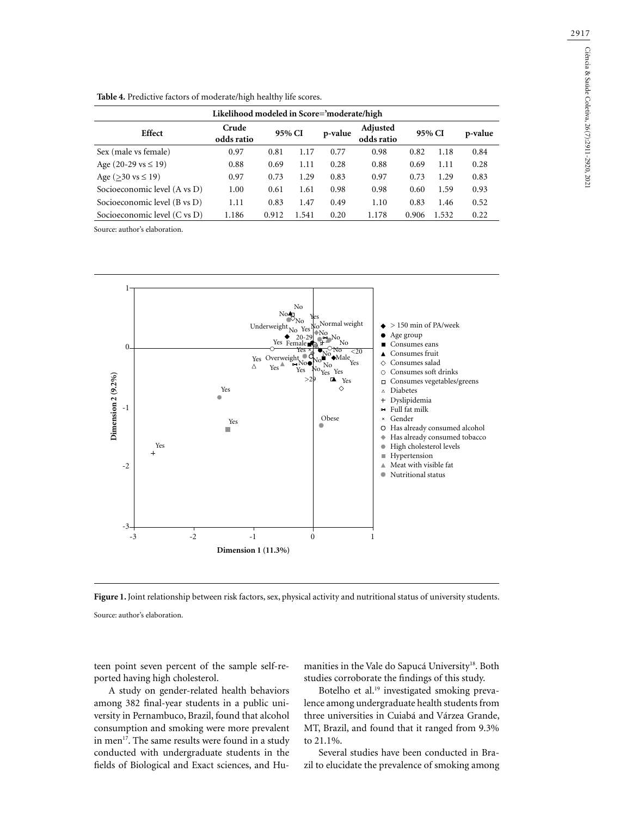| Likelihood modeled in Score='moderate/high |                     |        |       |         |                               |        |       |         |  |  |
|--------------------------------------------|---------------------|--------|-------|---------|-------------------------------|--------|-------|---------|--|--|
| Effect                                     | Crude<br>odds ratio | 95% CI |       | p-value | <b>Adjusted</b><br>odds ratio | 95% CI |       | p-value |  |  |
| Sex (male vs female)                       | 0.97                | 0.81   | 1.17  | 0.77    | 0.98                          | 0.82   | 1.18  | 0.84    |  |  |
| Age $(20-29 \text{ vs } \leq 19)$          | 0.88                | 0.69   | 1.11  | 0.28    | 0.88                          | 0.69   | 1.11  | 0.28    |  |  |
| Age ( $>30$ vs $\leq 19$ )                 | 0.97                | 0.73   | 1.29  | 0.83    | 0.97                          | 0.73   | 1.29  | 0.83    |  |  |
| Socioeconomic level (A vs D)               | 1.00                | 0.61   | 1.61  | 0.98    | 0.98                          | 0.60   | 1.59  | 0.93    |  |  |
| Socioeconomic level (B vs D)               | 1.11                | 0.83   | 1.47  | 0.49    | 1.10                          | 0.83   | 1.46  | 0.52    |  |  |
| Socioeconomic level (C vs D)               | 1.186               | 0.912  | 1.541 | 0.20    | 1.178                         | 0.906  | 1.532 | 0.22    |  |  |

**Table 4.** Predictive factors of moderate/high healthy life scores.

Source: author's elaboration.





Source: author's elaboration.

teen point seven percent of the sample self-reported having high cholesterol.

A study on gender-related health behaviors among 382 final-year students in a public university in Pernambuco, Brazil, found that alcohol consumption and smoking were more prevalent in men<sup>17</sup>. The same results were found in a study conducted with undergraduate students in the fields of Biological and Exact sciences, and Humanities in the Vale do Sapucá University<sup>18</sup>. Both studies corroborate the findings of this study.

Botelho et al.<sup>19</sup> investigated smoking prevalence among undergraduate health students from three universities in Cuiabá and Várzea Grande, MT, Brazil, and found that it ranged from 9.3% to 21.1%.

Several studies have been conducted in Brazil to elucidate the prevalence of smoking among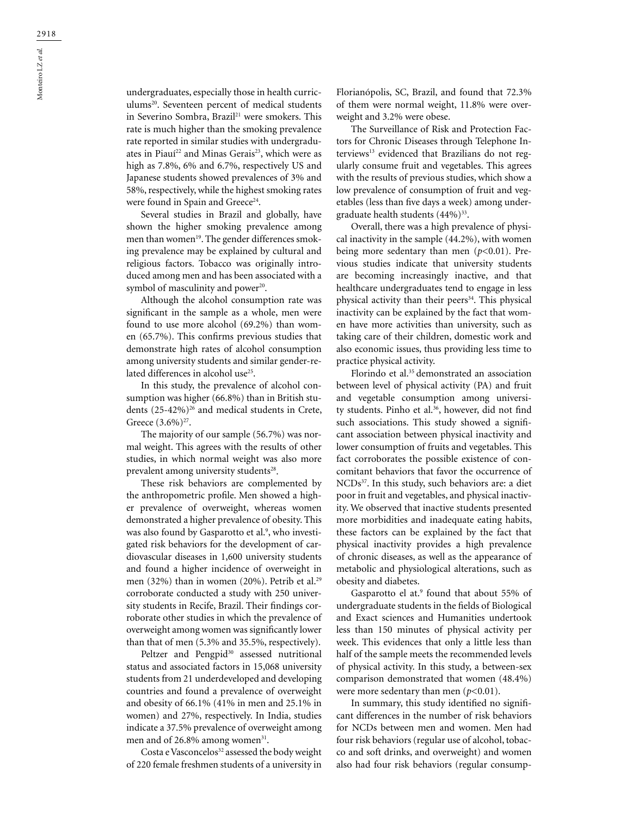undergraduates, especially those in health curriculums<sup>20</sup>. Seventeen percent of medical students in Severino Sombra, Brazil<sup>21</sup> were smokers. This rate is much higher than the smoking prevalence rate reported in similar studies with undergraduates in Piauí<sup>22</sup> and Minas Gerais<sup>23</sup>, which were as high as 7.8%, 6% and 6.7%, respectively US and Japanese students showed prevalences of 3% and 58%, respectively, while the highest smoking rates were found in Spain and Greece<sup>24</sup>.

Several studies in Brazil and globally, have shown the higher smoking prevalence among men than women<sup>19</sup>. The gender differences smoking prevalence may be explained by cultural and religious factors. Tobacco was originally introduced among men and has been associated with a symbol of masculinity and power<sup>20</sup>.

Although the alcohol consumption rate was significant in the sample as a whole, men were found to use more alcohol (69.2%) than women (65.7%). This confirms previous studies that demonstrate high rates of alcohol consumption among university students and similar gender-related differences in alcohol use<sup>25</sup>.

In this study, the prevalence of alcohol consumption was higher (66.8%) than in British students  $(25-42\%)^{26}$  and medical students in Crete, Greece  $(3.6\%)^{27}$ .

The majority of our sample (56.7%) was normal weight. This agrees with the results of other studies, in which normal weight was also more prevalent among university students<sup>28</sup>.

These risk behaviors are complemented by the anthropometric profile. Men showed a higher prevalence of overweight, whereas women demonstrated a higher prevalence of obesity. This was also found by Gasparotto et al.<sup>9</sup>, who investigated risk behaviors for the development of cardiovascular diseases in 1,600 university students and found a higher incidence of overweight in men (32%) than in women (20%). Petrib et al.<sup>29</sup> corroborate conducted a study with 250 university students in Recife, Brazil. Their findings corroborate other studies in which the prevalence of overweight among women was significantly lower than that of men (5.3% and 35.5%, respectively).

Peltzer and Pengpid<sup>30</sup> assessed nutritional status and associated factors in 15,068 university students from 21 underdeveloped and developing countries and found a prevalence of overweight and obesity of 66.1% (41% in men and 25.1% in women) and 27%, respectively. In India, studies indicate a 37.5% prevalence of overweight among men and of 26.8% among women<sup>31</sup>.

Costa e Vasconcelos<sup>32</sup> assessed the body weight of 220 female freshmen students of a university in Florianópolis, SC, Brazil, and found that 72.3% of them were normal weight, 11.8% were overweight and 3.2% were obese.

The Surveillance of Risk and Protection Factors for Chronic Diseases through Telephone Interviews<sup>13</sup> evidenced that Brazilians do not regularly consume fruit and vegetables. This agrees with the results of previous studies, which show a low prevalence of consumption of fruit and vegetables (less than five days a week) among undergraduate health students  $(44\%)^{33}$ .

Overall, there was a high prevalence of physical inactivity in the sample (44.2%), with women being more sedentary than men (*p*<0.01). Previous studies indicate that university students are becoming increasingly inactive, and that healthcare undergraduates tend to engage in less physical activity than their peers<sup>34</sup>. This physical inactivity can be explained by the fact that women have more activities than university, such as taking care of their children, domestic work and also economic issues, thus providing less time to practice physical activity.

Florindo et al.35 demonstrated an association between level of physical activity (PA) and fruit and vegetable consumption among university students. Pinho et al.<sup>36</sup>, however, did not find such associations. This study showed a significant association between physical inactivity and lower consumption of fruits and vegetables. This fact corroborates the possible existence of concomitant behaviors that favor the occurrence of NCDs<sup>37</sup>. In this study, such behaviors are: a diet poor in fruit and vegetables, and physical inactivity. We observed that inactive students presented more morbidities and inadequate eating habits, these factors can be explained by the fact that physical inactivity provides a high prevalence of chronic diseases, as well as the appearance of metabolic and physiological alterations, such as obesity and diabetes.

Gasparotto el at.<sup>9</sup> found that about 55% of undergraduate students in the fields of Biological and Exact sciences and Humanities undertook less than 150 minutes of physical activity per week. This evidences that only a little less than half of the sample meets the recommended levels of physical activity. In this study, a between-sex comparison demonstrated that women (48.4%) were more sedentary than men ( $p$ <0.01).

In summary, this study identified no significant differences in the number of risk behaviors for NCDs between men and women. Men had four risk behaviors (regular use of alcohol, tobacco and soft drinks, and overweight) and women also had four risk behaviors (regular consump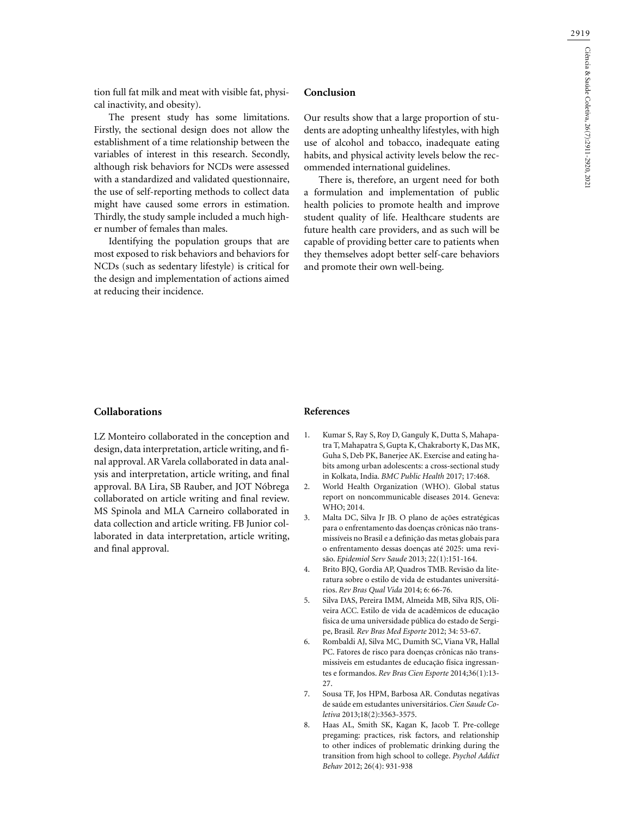tion full fat milk and meat with visible fat, physical inactivity, and obesity).

The present study has some limitations. Firstly, the sectional design does not allow the establishment of a time relationship between the variables of interest in this research. Secondly, although risk behaviors for NCDs were assessed with a standardized and validated questionnaire, the use of self-reporting methods to collect data might have caused some errors in estimation. Thirdly, the study sample included a much higher number of females than males.

Identifying the population groups that are most exposed to risk behaviors and behaviors for NCDs (such as sedentary lifestyle) is critical for the design and implementation of actions aimed at reducing their incidence.

# **Conclusion**

Our results show that a large proportion of students are adopting unhealthy lifestyles, with high use of alcohol and tobacco, inadequate eating habits, and physical activity levels below the recommended international guidelines.

There is, therefore, an urgent need for both a formulation and implementation of public health policies to promote health and improve student quality of life. Healthcare students are future health care providers, and as such will be capable of providing better care to patients when they themselves adopt better self-care behaviors and promote their own well-being.

### **Collaborations**

LZ Monteiro collaborated in the conception and design, data interpretation, article writing, and final approval. AR Varela collaborated in data analysis and interpretation, article writing, and final approval. BA Lira, SB Rauber, and JOT Nóbrega collaborated on article writing and final review. MS Spinola and MLA Carneiro collaborated in data collection and article writing. FB Junior collaborated in data interpretation, article writing, and final approval.

### **References**

- 1. Kumar S, Ray S, Roy D, Ganguly K, Dutta S, Mahapatra T, Mahapatra S, Gupta K, Chakraborty K, Das MK, Guha S, Deb PK, Banerjee AK. Exercise and eating habits among urban adolescents: a cross-sectional study in Kolkata, India. *BMC Public Health* 2017; 17:468.
- 2. World Health Organization (WHO). Global status report on noncommunicable diseases 2014. Geneva: WHO; 2014.
- 3. Malta DC, Silva Jr JB. O plano de ações estratégicas para o enfrentamento das doenças crônicas não transmissíveis no Brasil e a definição das metas globais para o enfrentamento dessas doenças até 2025: uma revisão. *Epidemiol Serv Saude* 2013; 22(1):151-164.
- 4. Brito BJQ, Gordia AP, Quadros TMB. Revisão da literatura sobre o estilo de vida de estudantes universitários. *Rev Bras Qual Vida* 2014; 6: 66-76.
- 5. Silva DAS, Pereira IMM, Almeida MB, Silva RJS, Oliveira ACC. Estilo de vida de acadêmicos de educação física de uma universidade pública do estado de Sergipe, Brasil*. Rev Bras Med Esporte* 2012; 34: 53-67.
- 6. Rombaldi AJ, Silva MC, Dumith SC, Viana VR, Hallal PC. Fatores de risco para doenças crônicas não transmissiveis em estudantes de educação física ingressantes e formandos. *Rev Bras Cien Esporte* 2014;36(1):13- 27.
- 7. Sousa TF, Jos HPM, Barbosa AR. Condutas negativas de saúde em estudantes universitários. *Cien Saude Coletiva* 2013;18(2):3563-3575.
- 8. Haas AL, Smith SK, Kagan K, Jacob T. Pre-college pregaming: practices, risk factors, and relationship to other indices of problematic drinking during the transition from high school to college. *Psychol Addict Behav* 2012; 26(4): 931-938